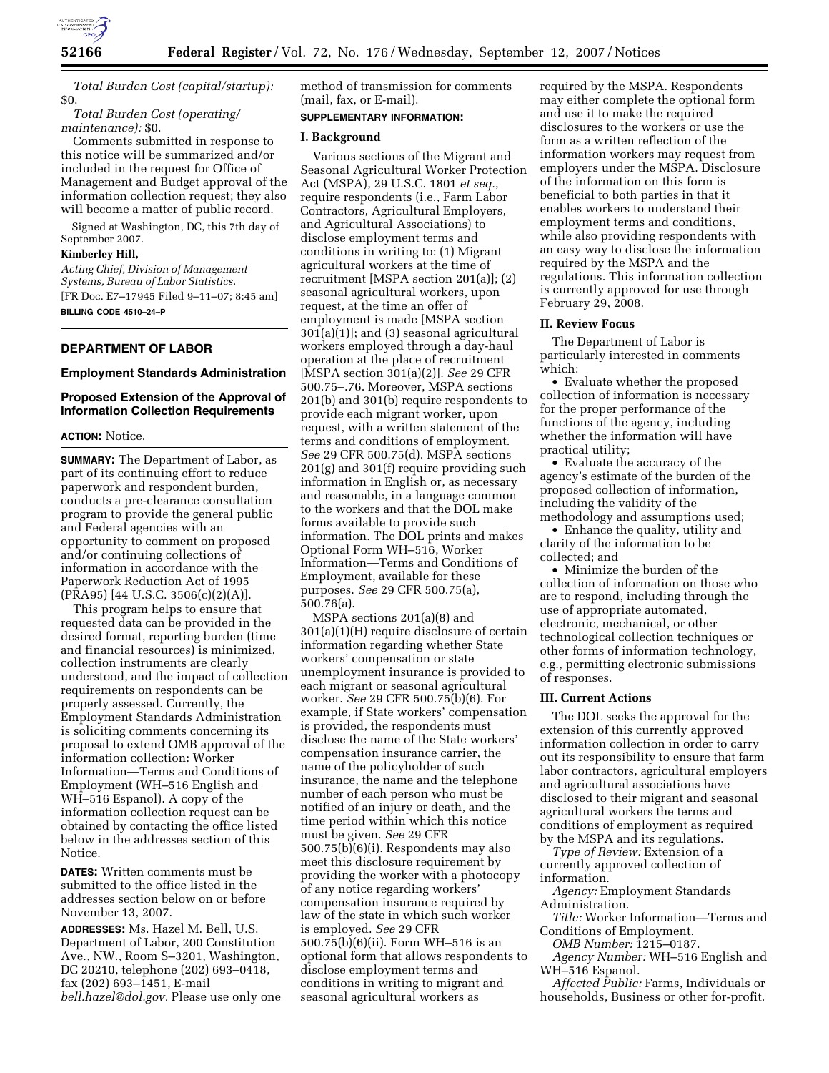

*Total Burden Cost (capital/startup):*  \$0.

*Total Burden Cost (operating/ maintenance):* \$0.

Comments submitted in response to this notice will be summarized and/or included in the request for Office of Management and Budget approval of the information collection request; they also will become a matter of public record.

Signed at Washington, DC, this 7th day of September 2007.

# **Kimberley Hill,**

*Acting Chief, Division of Management Systems, Bureau of Labor Statistics.*  [FR Doc. E7–17945 Filed 9–11–07; 8:45 am] **BILLING CODE 4510–24–P** 

## **DEPARTMENT OF LABOR**

#### **Employment Standards Administration**

# **Proposed Extension of the Approval of Information Collection Requirements**

## **ACTION:** Notice.

**SUMMARY:** The Department of Labor, as part of its continuing effort to reduce paperwork and respondent burden, conducts a pre-clearance consultation program to provide the general public and Federal agencies with an opportunity to comment on proposed and/or continuing collections of information in accordance with the Paperwork Reduction Act of 1995 (PRA95) [44 U.S.C. 3506(c)(2)(A)].

This program helps to ensure that requested data can be provided in the desired format, reporting burden (time and financial resources) is minimized, collection instruments are clearly understood, and the impact of collection requirements on respondents can be properly assessed. Currently, the Employment Standards Administration is soliciting comments concerning its proposal to extend OMB approval of the information collection: Worker Information—Terms and Conditions of Employment (WH–516 English and WH–516 Espanol). A copy of the information collection request can be obtained by contacting the office listed below in the addresses section of this Notice.

**DATES:** Written comments must be submitted to the office listed in the addresses section below on or before November 13, 2007.

**ADDRESSES:** Ms. Hazel M. Bell, U.S. Department of Labor, 200 Constitution Ave., NW., Room S–3201, Washington, DC 20210, telephone (202) 693–0418, fax (202) 693–1451, E-mail *bell.hazel@dol.gov.* Please use only one method of transmission for comments (mail, fax, or E-mail).

# **SUPPLEMENTARY INFORMATION:**

## **I. Background**

Various sections of the Migrant and Seasonal Agricultural Worker Protection Act (MSPA), 29 U.S.C. 1801 *et seq.*, require respondents (i.e., Farm Labor Contractors, Agricultural Employers, and Agricultural Associations) to disclose employment terms and conditions in writing to: (1) Migrant agricultural workers at the time of recruitment [MSPA section 201(a)]; (2) seasonal agricultural workers, upon request, at the time an offer of employment is made [MSPA section  $301(a)(1)$ ; and (3) seasonal agricultural workers employed through a day-haul operation at the place of recruitment [MSPA section 301(a)(2)]. *See* 29 CFR 500.75–.76. Moreover, MSPA sections 201(b) and 301(b) require respondents to provide each migrant worker, upon request, with a written statement of the terms and conditions of employment. *See* 29 CFR 500.75(d). MSPA sections 201(g) and 301(f) require providing such information in English or, as necessary and reasonable, in a language common to the workers and that the DOL make forms available to provide such information. The DOL prints and makes Optional Form WH–516, Worker Information—Terms and Conditions of Employment, available for these purposes. *See* 29 CFR 500.75(a), 500.76(a).

MSPA sections 201(a)(8) and 301(a)(1)(H) require disclosure of certain information regarding whether State workers' compensation or state unemployment insurance is provided to each migrant or seasonal agricultural worker. *See* 29 CFR 500.75(b)(6). For example, if State workers' compensation is provided, the respondents must disclose the name of the State workers' compensation insurance carrier, the name of the policyholder of such insurance, the name and the telephone number of each person who must be notified of an injury or death, and the time period within which this notice must be given. *See* 29 CFR 500.75(b)(6)(i). Respondents may also meet this disclosure requirement by providing the worker with a photocopy of any notice regarding workers' compensation insurance required by law of the state in which such worker is employed. *See* 29 CFR 500.75(b)(6)(ii). Form WH–516 is an optional form that allows respondents to disclose employment terms and conditions in writing to migrant and seasonal agricultural workers as

required by the MSPA. Respondents may either complete the optional form and use it to make the required disclosures to the workers or use the form as a written reflection of the information workers may request from employers under the MSPA. Disclosure of the information on this form is beneficial to both parties in that it enables workers to understand their employment terms and conditions, while also providing respondents with an easy way to disclose the information required by the MSPA and the regulations. This information collection is currently approved for use through February 29, 2008.

#### **II. Review Focus**

The Department of Labor is particularly interested in comments which:

• Evaluate whether the proposed collection of information is necessary for the proper performance of the functions of the agency, including whether the information will have practical utility;

• Evaluate the accuracy of the agency's estimate of the burden of the proposed collection of information, including the validity of the methodology and assumptions used;

• Enhance the quality, utility and clarity of the information to be collected; and

• Minimize the burden of the collection of information on those who are to respond, including through the use of appropriate automated, electronic, mechanical, or other technological collection techniques or other forms of information technology, e.g., permitting electronic submissions of responses.

#### **III. Current Actions**

The DOL seeks the approval for the extension of this currently approved information collection in order to carry out its responsibility to ensure that farm labor contractors, agricultural employers and agricultural associations have disclosed to their migrant and seasonal agricultural workers the terms and conditions of employment as required by the MSPA and its regulations.

*Type of Review:* Extension of a currently approved collection of information.

*Agency:* Employment Standards Administration.

*Title:* Worker Information—Terms and Conditions of Employment.

*OMB Number:* 1215–0187.

*Agency Number:* WH–516 English and WH–516 Espanol.

*Affected Public:* Farms, Individuals or households, Business or other for-profit.